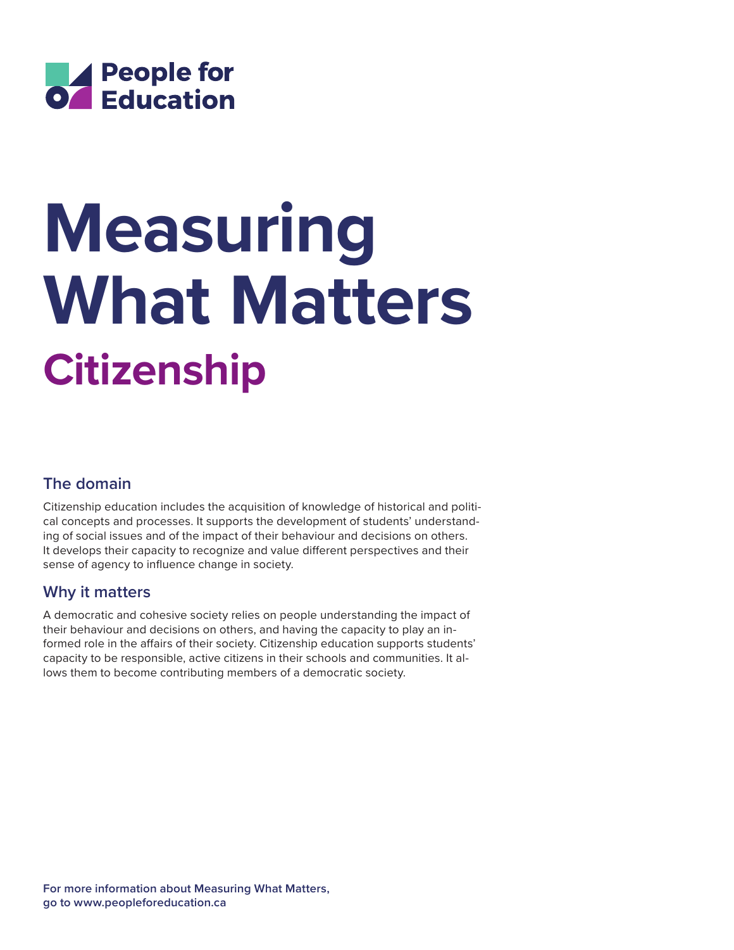

# **Citizenship Measuring What Matters**

# **The domain**

Citizenship education includes the acquisition of knowledge of historical and political concepts and processes. It supports the development of students' understanding of social issues and of the impact of their behaviour and decisions on others. It develops their capacity to recognize and value different perspectives and their sense of agency to influence change in society.

## **Why it matters**

A democratic and cohesive society relies on people understanding the impact of their behaviour and decisions on others, and having the capacity to play an informed role in the affairs of their society. Citizenship education supports students' capacity to be responsible, active citizens in their schools and communities. It allows them to become contributing members of a democratic society.